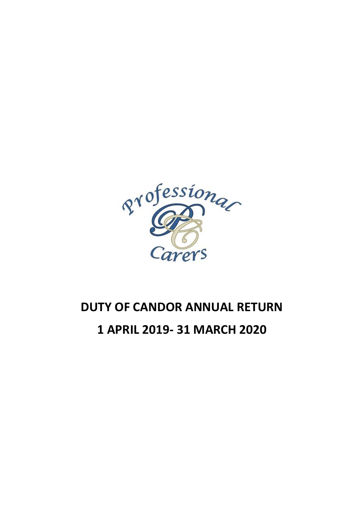

# **DUTY OF CANDOR ANNUAL RETURN 1 APRIL 2019- 31 MARCH 2020**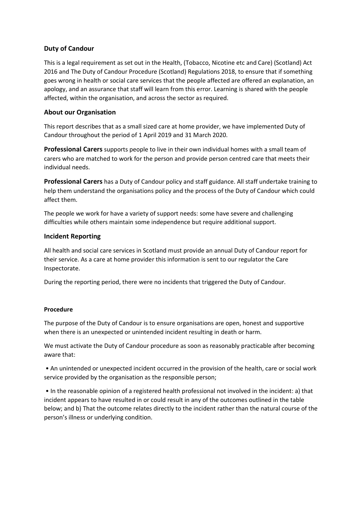## **Duty of Candour**

This is a legal requirement as set out in the Health, (Tobacco, Nicotine etc and Care) (Scotland) Act 2016 and The Duty of Candour Procedure (Scotland) Regulations 2018, to ensure that if something goes wrong in health or social care services that the people affected are offered an explanation, an apology, and an assurance that staff will learn from this error. Learning is shared with the people affected, within the organisation, and across the sector as required.

## **About our Organisation**

This report describes that as a small sized care at home provider, we have implemented Duty of Candour throughout the period of 1 April 2019 and 31 March 2020.

**Professional Carers** supports people to live in their own individual homes with a small team of carers who are matched to work for the person and provide person centred care that meets their individual needs.

**Professional Carers** has a Duty of Candour policy and staff guidance. All staff undertake training to help them understand the organisations policy and the process of the Duty of Candour which could affect them.

The people we work for have a variety of support needs: some have severe and challenging difficulties while others maintain some independence but require additional support.

#### **Incident Reporting**

All health and social care services in Scotland must provide an annual Duty of Candour report for their service. As a care at home provider this information is sent to our regulator the Care Inspectorate.

During the reporting period, there were no incidents that triggered the Duty of Candour.

#### **Procedure**

The purpose of the Duty of Candour is to ensure organisations are open, honest and supportive when there is an unexpected or unintended incident resulting in death or harm.

We must activate the Duty of Candour procedure as soon as reasonably practicable after becoming aware that:

• An unintended or unexpected incident occurred in the provision of the health, care or social work service provided by the organisation as the responsible person;

• In the reasonable opinion of a registered health professional not involved in the incident: a) that incident appears to have resulted in or could result in any of the outcomes outlined in the table below; and b) That the outcome relates directly to the incident rather than the natural course of the person's illness or underlying condition.